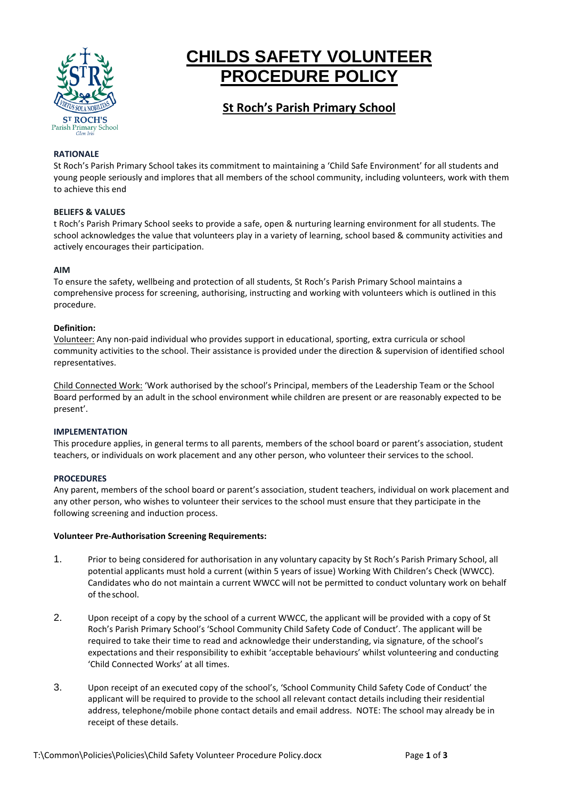

# **CHILDS SAFETY VOLUNTEER PROCEDURE POLICY**

# **St Roch's Parish Primary School**

#### **RATIONALE**

St Roch's Parish Primary School takes its commitment to maintaining a 'Child Safe Environment' for all students and young people seriously and implores that all members of the school community, including volunteers, work with them to achieve this end

#### **BELIEFS & VALUES**

t Roch's Parish Primary School seeks to provide a safe, open & nurturing learning environment for all students. The school acknowledges the value that volunteers play in a variety of learning, school based & community activities and actively encourages their participation.

#### **AIM**

To ensure the safety, wellbeing and protection of all students, St Roch's Parish Primary School maintains a comprehensive process for screening, authorising, instructing and working with volunteers which is outlined in this procedure.

#### **Definition:**

Volunteer: Any non-paid individual who provides support in educational, sporting, extra curricula or school community activities to the school. Their assistance is provided under the direction & supervision of identified school representatives.

Child Connected Work: 'Work authorised by the school's Principal, members of the Leadership Team or the School Board performed by an adult in the school environment while children are present or are reasonably expected to be present'.

## **IMPLEMENTATION**

This procedure applies, in general terms to all parents, members of the school board or parent's association, student teachers, or individuals on work placement and any other person, who volunteer their services to the school.

## **PROCEDURES**

Any parent, members of the school board or parent's association, student teachers, individual on work placement and any other person, who wishes to volunteer their services to the school must ensure that they participate in the following screening and induction process.

#### **Volunteer Pre-Authorisation Screening Requirements:**

- 1. Prior to being considered for authorisation in any voluntary capacity by St Roch's Parish Primary School, all potential applicants must hold a current (within 5 years of issue) Working With Children's Check (WWCC). Candidates who do not maintain a current WWCC will not be permitted to conduct voluntary work on behalf of the school.
- 2. Upon receipt of a copy by the school of a current WWCC, the applicant will be provided with a copy of St Roch's Parish Primary School's 'School Community Child Safety Code of Conduct'. The applicant will be required to take their time to read and acknowledge their understanding, via signature, of the school's expectations and their responsibility to exhibit 'acceptable behaviours' whilst volunteering and conducting 'Child Connected Works' at all times.
- 3. Upon receipt of an executed copy of the school's, 'School Community Child Safety Code of Conduct' the applicant will be required to provide to the school all relevant contact details including their residential address, telephone/mobile phone contact details and email address. NOTE: The school may already be in receipt of these details.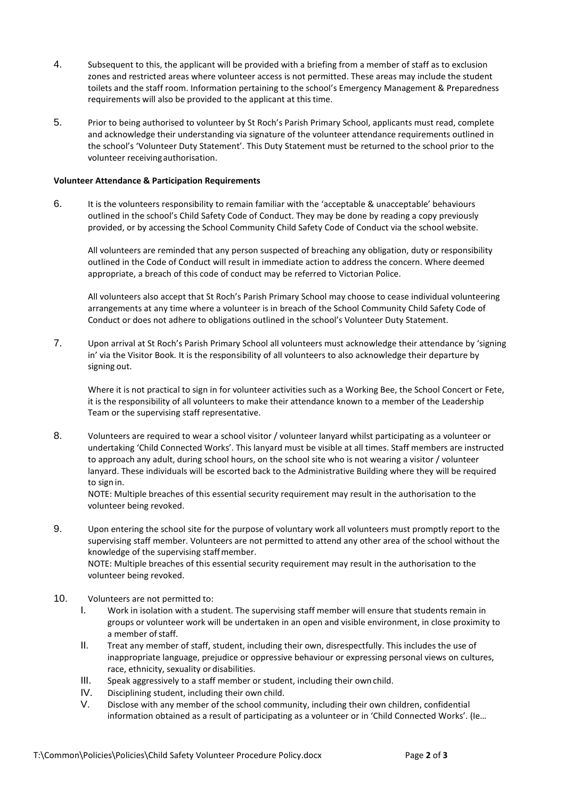- 4. Subsequent to this, the applicant will be provided with a briefing from a member of staff as to exclusion zones and restricted areas where volunteer access is not permitted. These areas may include the student toilets and the staff room. Information pertaining to the school's Emergency Management & Preparedness requirements will also be provided to the applicant at thistime.
- 5. Prior to being authorised to volunteer by St Roch's Parish Primary School, applicants must read, complete and acknowledge their understanding via signature of the volunteer attendance requirements outlined in the school's 'Volunteer Duty Statement'. This Duty Statement must be returned to the school prior to the volunteer receivingauthorisation.

#### **Volunteer Attendance & Participation Requirements**

6. It is the volunteers responsibility to remain familiar with the 'acceptable & unacceptable' behaviours outlined in the school's Child Safety Code of Conduct. They may be done by reading a copy previously provided, or by accessing the School Community Child Safety Code of Conduct via the school website.

All volunteers are reminded that any person suspected of breaching any obligation, duty or responsibility outlined in the Code of Conduct will result in immediate action to address the concern. Where deemed appropriate, a breach of this code of conduct may be referred to Victorian Police.

All volunteers also accept that St Roch's Parish Primary School may choose to cease individual volunteering arrangements at any time where a volunteer is in breach of the School Community Child Safety Code of Conduct or does not adhere to obligations outlined in the school's Volunteer Duty Statement.

7. Upon arrival at St Roch's Parish Primary School all volunteers must acknowledge their attendance by 'signing in' via the Visitor Book*.* It is the responsibility of all volunteers to also acknowledge their departure by signing out.

Where it is not practical to sign in for volunteer activities such as a Working Bee, the School Concert or Fete, it is the responsibility of all volunteers to make their attendance known to a member of the Leadership Team or the supervising staff representative.

8. Volunteers are required to wear a school visitor / volunteer lanyard whilst participating as a volunteer or undertaking 'Child Connected Works'. This lanyard must be visible at all times. Staff members are instructed to approach any adult, during school hours, on the school site who is not wearing a visitor / volunteer lanyard. These individuals will be escorted back to the Administrative Building where they will be required to sign in.

NOTE: Multiple breaches of this essential security requirement may result in the authorisation to the volunteer being revoked.

9. Upon entering the school site for the purpose of voluntary work all volunteers must promptly report to the supervising staff member. Volunteers are not permitted to attend any other area of the school without the knowledge of the supervising staffmember. NOTE: Multiple breaches of this essential security requirement may result in the authorisation to the

volunteer being revoked.

- 10. Volunteers are not permitted to:
	- I. Work in isolation with a student. The supervising staff member will ensure that students remain in groups or volunteer work will be undertaken in an open and visible environment, in close proximity to a member of staff.
	- II. Treat any member of staff, student, including their own, disrespectfully. This includes the use of inappropriate language, prejudice or oppressive behaviour or expressing personal views on cultures, race, ethnicity, sexuality or disabilities.
	- III. Speak aggressively to a staff member or student, including their own child.
	- IV. Disciplining student, including their own child.
	- V. Disclose with any member of the school community, including their own children, confidential information obtained as a result of participating as a volunteer or in 'Child Connected Works'. (Ie…